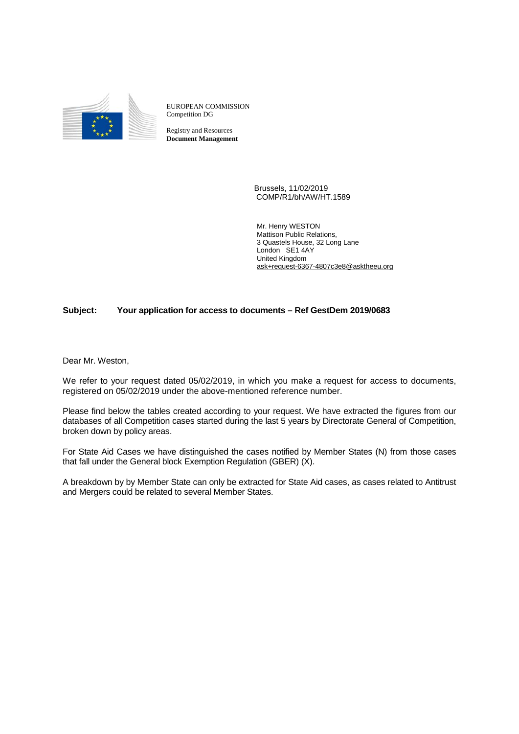

EUROPEAN COMMISSION Competition DG

Registry and Resources **Document Management**

> Brussels, 11/02/2019 COMP/R1/bh/AW/HT.1589

Mr. Henry WESTON Mattison Public Relations, 3 Quastels House, 32 Long Lane London SE1 4AY United Kingdom [ask+request-6367-4807c3e8@asktheeu.org](mailto:xxxxxxxxxxxxxxxxxxxxxxxxx@xxxxxxxx.xxx)

## **Subject: Your application for access to documents – Ref GestDem 2019/0683**

Dear Mr. Weston,

We refer to your request dated 05/02/2019, in which you make a request for access to documents, registered on 05/02/2019 under the above-mentioned reference number.

Please find below the tables created according to your request. We have extracted the figures from our databases of all Competition cases started during the last 5 years by Directorate General of Competition, broken down by policy areas.

For State Aid Cases we have distinguished the cases notified by Member States (N) from those cases that fall under the General block Exemption Regulation (GBER) (X).

A breakdown by by Member State can only be extracted for State Aid cases, as cases related to Antitrust and Mergers could be related to several Member States.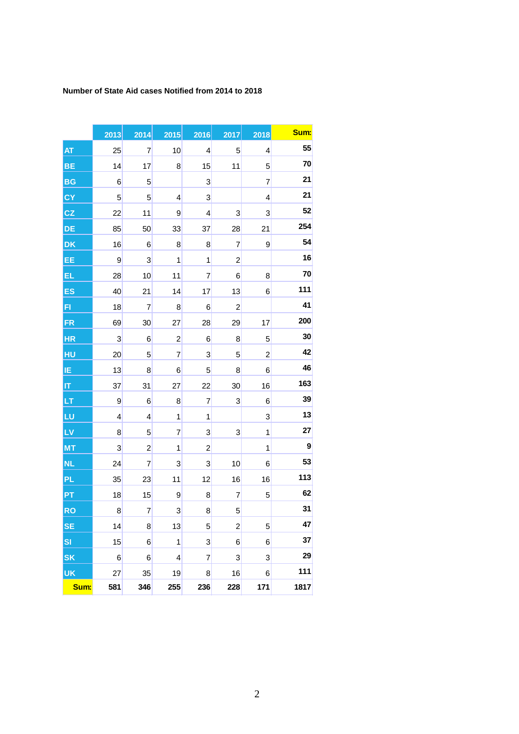## **Number of State Aid cases Notified from 2014 to 2018**

|           | 2013 | 2014                    | 2015                    | 2016                    | 2017                    | 2018                    | Sum: |
|-----------|------|-------------------------|-------------------------|-------------------------|-------------------------|-------------------------|------|
| AT        | 25   | $\overline{7}$          | 10                      | 4                       | 5                       | 4                       | 55   |
| <b>BE</b> | 14   | 17                      | 8                       | 15                      | 11                      | 5                       | 70   |
| <b>BG</b> | 6    | 5                       |                         | $\mathbf{3}$            |                         | $\overline{7}$          | 21   |
| CY        | 5    | 5                       | 4                       | 3                       |                         | 4                       | 21   |
| CZ        | 22   | 11                      | 9                       | 4                       | 3                       | 3                       | 52   |
| DE        | 85   | 50                      | 33                      | 37                      | 28                      | 21                      | 254  |
| <b>DK</b> | 16   | 6                       | 8                       | 8                       | $\overline{7}$          | 9                       | 54   |
| EE        | 9    | $\overline{\mathbf{3}}$ | 1                       | $\mathbf 1$             | $\overline{\mathbf{c}}$ |                         | 16   |
| EL        | 28   | 10                      | 11                      | 7                       | 6                       | 8                       | 70   |
| ES        | 40   | 21                      | 14                      | 17                      | 13                      | 6                       | 111  |
| FI        | 18   | $\overline{7}$          | 8                       | 6                       | $\overline{\mathbf{c}}$ |                         | 41   |
| FR        | 69   | 30                      | 27                      | 28                      | 29                      | 17                      | 200  |
| <b>HR</b> | 3    | 6                       | $\overline{\mathbf{c}}$ | 6                       | 8                       | 5                       | 30   |
| HU        | 20   | 5                       | $\overline{7}$          | 3                       | 5                       | $\overline{\mathbf{c}}$ | 42   |
| IE        | 13   | 8                       | 6                       | 5                       | 8                       | 6                       | 46   |
| IT        | 37   | 31                      | 27                      | 22                      | 30                      | 16                      | 163  |
| LT        | 9    | 6                       | 8                       | $\overline{7}$          | 3                       | 6                       | 39   |
| LU        | 4    | 4                       | 1                       | $\mathbf 1$             |                         | 3                       | 13   |
| LV        | 8    | 5                       | 7                       | 3                       | 3                       | $\mathbf 1$             | 27   |
| <b>MT</b> | 3    | $\overline{\mathbf{c}}$ | $\mathbf 1$             | $\overline{\mathbf{c}}$ |                         | $\mathbf 1$             | 9    |
| <b>NL</b> | 24   | 7                       | 3                       | 3                       | 10                      | 6                       | 53   |
| <b>PL</b> | 35   | 23                      | 11                      | 12                      | 16                      | 16                      | 113  |
| PT        | 18   | 15                      | 9                       | 8                       | 7                       | 5                       | 62   |
| <b>RO</b> | 8    | $\overline{7}$          | 3                       | 8                       | 5                       |                         | 31   |
| <b>SE</b> | 14   | 8                       | 13                      | $\overline{5}$          | $\overline{\mathbf{c}}$ | 5                       | 47   |
| <b>SI</b> | 15   | 6                       | 1                       | 3                       | 6                       | 6                       | 37   |
| <b>SK</b> | 6    | 6                       | $\overline{4}$          | $\overline{7}$          | 3                       | 3                       | 29   |
| <b>UK</b> | 27   | 35                      | 19                      | 8                       | 16                      | 6                       | 111  |
| Sum:      | 581  | 346                     | 255                     | 236                     | 228                     | 171                     | 1817 |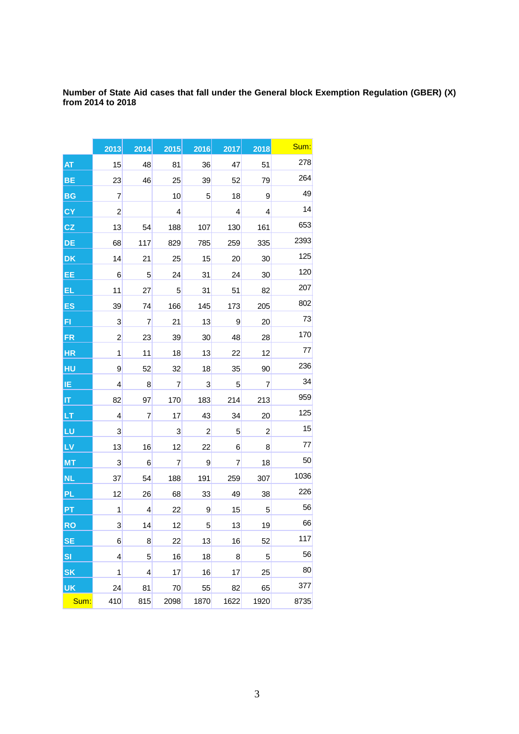**Number of State Aid cases that fall under the General block Exemption Regulation (GBER) (X) from 2014 to 2018**

|           | 2013           | 2014            | 2015           | 2016           | 2017           | 2018 | Sum: |
|-----------|----------------|-----------------|----------------|----------------|----------------|------|------|
| AT        | 15             | 48              | 81             | 36             | 47             | 51   | 278  |
| BE        | 23             | 46              | 25             | 39             | 52             | 79   | 264  |
| <b>BG</b> | 7              |                 | 10             | 5              | 18             | 9    | 49   |
| <b>CY</b> | $\overline{c}$ |                 | 4              |                | $\overline{4}$ | 4    | 14   |
| CZ        | 13             | 54              | 188            | 107            | 130            | 161  | 653  |
| DE        | 68             | 117             | 829            | 785            | 259            | 335  | 2393 |
| <b>DK</b> | 14             | 21              | 25             | 15             | 20             | 30   | 125  |
| EE        | 6              | $5\phantom{.0}$ | 24             | 31             | 24             | 30   | 120  |
| EL        | 11             | 27              | 5              | 31             | 51             | 82   | 207  |
| ES        | 39             | 74              | 166            | 145            | 173            | 205  | 802  |
| F1        | 3              | $\overline{7}$  | 21             | 13             | 9              | 20   | 73   |
| <b>FR</b> | $\overline{c}$ | 23              | 39             | 30             | 48             | 28   | 170  |
| <b>HR</b> | 1              | 11              | 18             | 13             | 22             | 12   | 77   |
| HU        | 9              | 52              | 32             | 18             | 35             | 90   | 236  |
| ΙE        | 4              | 8               | 7              | $\mathbf{3}$   | 5              | 7    | 34   |
| ļΠ        | 82             | 97              | 170            | 183            | 214            | 213  | 959  |
| LТ        | $\overline{4}$ | 7               | 17             | 43             | 34             | 20   | 125  |
| LU        | 3              |                 | 3              | $\overline{c}$ | 5              | 2    | 15   |
| LV        | 13             | 16              | 12             | 22             | 6              | 8    | 77   |
| <b>MT</b> | 3              | 6               | $\overline{7}$ | 9              | 7              | 18   | 50   |
| <b>NL</b> | 37             | 54              | 188            | 191            | 259            | 307  | 1036 |
| <b>PL</b> | 12             | 26              | 68             | 33             | 49             | 38   | 226  |
| <b>PT</b> | 1              | 4               | 22             | 9              | 15             | 5    | 56   |
| <b>RO</b> | 3              | 14              | 12             | $\overline{5}$ | 13             | 19   | 66   |
| <b>SE</b> | 6              | 8               | 22             | 13             | 16             | 52   | 117  |
| <b>SI</b> | 4              | $5\overline{)}$ | 16             | 18             | 8              | 5    | 56   |
| SK        | 1              | 4               | 17             | 16             | 17             | 25   | 80   |
| UK        | 24             | 81              | 70             | 55             | 82             | 65   | 377  |
| Sum:      | 410            | 815             | 2098           | 1870           | 1622           | 1920 | 8735 |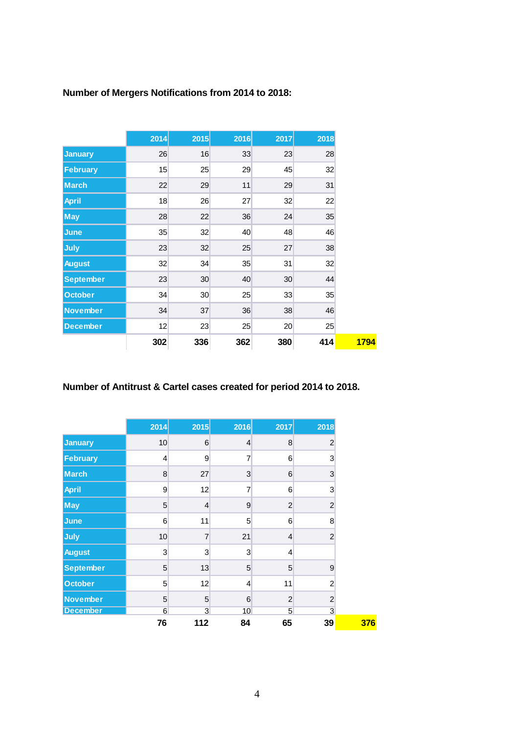# **Number of Mergers Notifications from 2014 to 2018:**

|                  | 2014 | 2015            | 2016 | 2017            | 2018 |
|------------------|------|-----------------|------|-----------------|------|
| <b>January</b>   | 26   | 16              | 33   | 23              | 28   |
| <b>February</b>  | 15   | 25              | 29   | 45              | 32   |
| <b>March</b>     | 22   | 29              | 11   | 29              | 31   |
| <b>April</b>     | 18   | 26              | 27   | 32              | 22   |
| <b>May</b>       | 28   | 22              | 36   | 24              | 35   |
| June             | 35   | 32              | 40   | 48              | 46   |
| July             | 23   | 32              | 25   | 27              | 38   |
| <b>August</b>    | 32   | 34              | 35   | 31              | 32   |
| <b>September</b> | 23   | 30 <sub>2</sub> | 40   | 30              | 44   |
| <b>October</b>   | 34   | 30 <sup>°</sup> | 25   | 33              | 35   |
| <b>November</b>  | 34   | 37              | 36   | 38              | 46   |
| <b>December</b>  | 12   | 23              | 25   | 20 <sup>°</sup> | 25   |
|                  | 302  | 336             | 362  | 380             | 414  |

## **Number of Antitrust & Cartel cases created for period 2014 to 2018.**

|                  | 2014           | 2015           | 2016            | 2017            | 2018           |
|------------------|----------------|----------------|-----------------|-----------------|----------------|
| January          | 10             | 6              | $\overline{4}$  | 8               | $\overline{2}$ |
| February         | $\overline{4}$ | $\overline{9}$ | $\overline{7}$  | 6               | 3              |
| <b>March</b>     | 8              | 27             | 3               | 6               | 3              |
| <b>April</b>     | 9              | 12             | $\overline{7}$  | 6               | 3              |
| <b>May</b>       | 5              | $\overline{4}$ | 9               | $\overline{2}$  | $\overline{c}$ |
| June             | 6              | 11             | 5               | 6               | 8              |
| July             | 10             | $\overline{7}$ | 21              | $\overline{4}$  | $\overline{c}$ |
| <b>August</b>    | 3              | 3              | 3               | $\overline{4}$  |                |
| <b>September</b> | 5              | 13             | 5               | 5               | 9              |
| <b>October</b>   | 5              | 12             | 4               | 11              | $\overline{2}$ |
| November         | 5              | 5              | 6               | $\overline{2}$  | $\overline{2}$ |
| <b>December</b>  | 6              | $\mathbf{3}$   | 10 <sup>°</sup> | $5\overline{)}$ | 3              |
|                  | 76             | 112            | 84              | 65              | 39             |